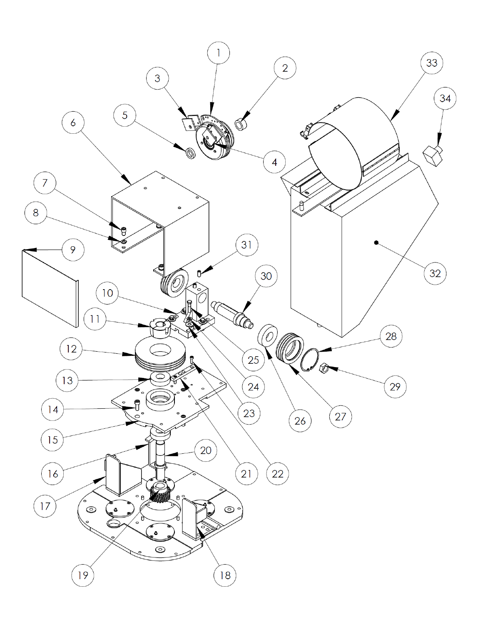